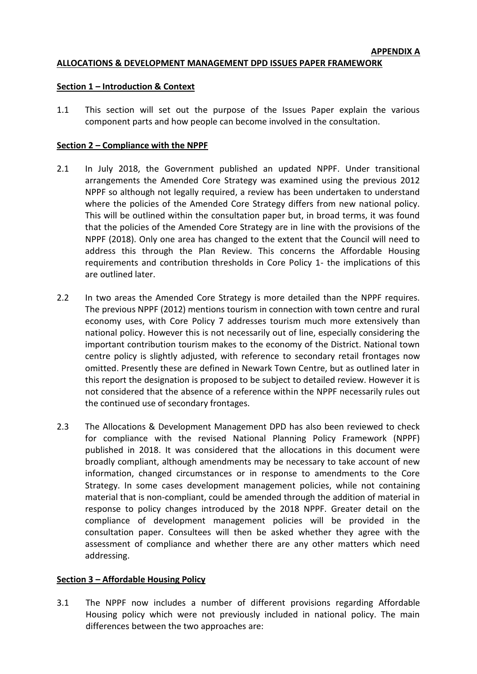#### **ALLOCATIONS & DEVELOPMENT MANAGEMENT DPD ISSUES PAPER FRAMEWORK**

#### **Section 1 – Introduction & Context**

1.1 This section will set out the purpose of the Issues Paper explain the various component parts and how people can become involved in the consultation.

#### **Section 2 – Compliance with the NPPF**

- 2.1 In July 2018, the Government published an updated NPPF. Under transitional arrangements the Amended Core Strategy was examined using the previous 2012 NPPF so although not legally required, a review has been undertaken to understand where the policies of the Amended Core Strategy differs from new national policy. This will be outlined within the consultation paper but, in broad terms, it was found that the policies of the Amended Core Strategy are in line with the provisions of the NPPF (2018). Only one area has changed to the extent that the Council will need to address this through the Plan Review. This concerns the Affordable Housing requirements and contribution thresholds in Core Policy 1- the implications of this are outlined later.
- 2.2 In two areas the Amended Core Strategy is more detailed than the NPPF requires. The previous NPPF (2012) mentions tourism in connection with town centre and rural economy uses, with Core Policy 7 addresses tourism much more extensively than national policy. However this is not necessarily out of line, especially considering the important contribution tourism makes to the economy of the District. National town centre policy is slightly adjusted, with reference to secondary retail frontages now omitted. Presently these are defined in Newark Town Centre, but as outlined later in this report the designation is proposed to be subject to detailed review. However it is not considered that the absence of a reference within the NPPF necessarily rules out the continued use of secondary frontages.
- 2.3 The Allocations & Development Management DPD has also been reviewed to check for compliance with the revised National Planning Policy Framework (NPPF) published in 2018. It was considered that the allocations in this document were broadly compliant, although amendments may be necessary to take account of new information, changed circumstances or in response to amendments to the Core Strategy. In some cases development management policies, while not containing material that is non-compliant, could be amended through the addition of material in response to policy changes introduced by the 2018 NPPF. Greater detail on the compliance of development management policies will be provided in the consultation paper. Consultees will then be asked whether they agree with the assessment of compliance and whether there are any other matters which need addressing.

#### **Section 3 – Affordable Housing Policy**

3.1 The NPPF now includes a number of different provisions regarding Affordable Housing policy which were not previously included in national policy. The main differences between the two approaches are: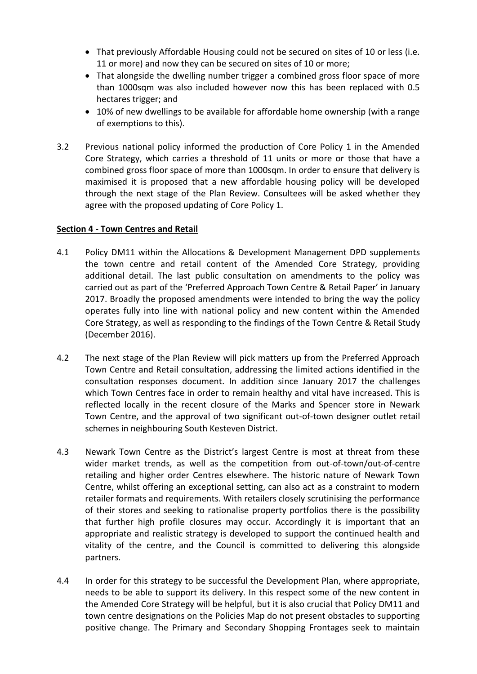- That previously Affordable Housing could not be secured on sites of 10 or less (i.e. 11 or more) and now they can be secured on sites of 10 or more;
- That alongside the dwelling number trigger a combined gross floor space of more than 1000sqm was also included however now this has been replaced with 0.5 hectares trigger; and
- 10% of new dwellings to be available for affordable home ownership (with a range of exemptions to this).
- 3.2 Previous national policy informed the production of Core Policy 1 in the Amended Core Strategy, which carries a threshold of 11 units or more or those that have a combined gross floor space of more than 1000sqm. In order to ensure that delivery is maximised it is proposed that a new affordable housing policy will be developed through the next stage of the Plan Review. Consultees will be asked whether they agree with the proposed updating of Core Policy 1.

#### **Section 4 - Town Centres and Retail**

- 4.1 Policy DM11 within the Allocations & Development Management DPD supplements the town centre and retail content of the Amended Core Strategy, providing additional detail. The last public consultation on amendments to the policy was carried out as part of the 'Preferred Approach Town Centre & Retail Paper' in January 2017. Broadly the proposed amendments were intended to bring the way the policy operates fully into line with national policy and new content within the Amended Core Strategy, as well as responding to the findings of the Town Centre & Retail Study (December 2016).
- 4.2 The next stage of the Plan Review will pick matters up from the Preferred Approach Town Centre and Retail consultation, addressing the limited actions identified in the consultation responses document. In addition since January 2017 the challenges which Town Centres face in order to remain healthy and vital have increased. This is reflected locally in the recent closure of the Marks and Spencer store in Newark Town Centre, and the approval of two significant out-of-town designer outlet retail schemes in neighbouring South Kesteven District.
- 4.3 Newark Town Centre as the District's largest Centre is most at threat from these wider market trends, as well as the competition from out-of-town/out-of-centre retailing and higher order Centres elsewhere. The historic nature of Newark Town Centre, whilst offering an exceptional setting, can also act as a constraint to modern retailer formats and requirements. With retailers closely scrutinising the performance of their stores and seeking to rationalise property portfolios there is the possibility that further high profile closures may occur. Accordingly it is important that an appropriate and realistic strategy is developed to support the continued health and vitality of the centre, and the Council is committed to delivering this alongside partners.
- 4.4 In order for this strategy to be successful the Development Plan, where appropriate, needs to be able to support its delivery. In this respect some of the new content in the Amended Core Strategy will be helpful, but it is also crucial that Policy DM11 and town centre designations on the Policies Map do not present obstacles to supporting positive change. The Primary and Secondary Shopping Frontages seek to maintain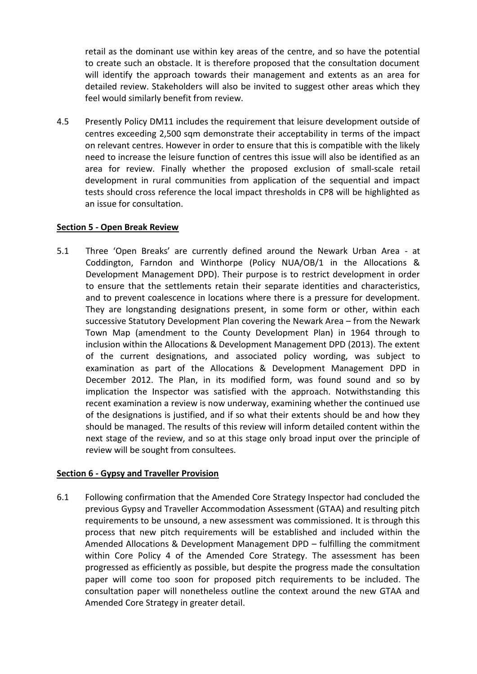retail as the dominant use within key areas of the centre, and so have the potential to create such an obstacle. It is therefore proposed that the consultation document will identify the approach towards their management and extents as an area for detailed review. Stakeholders will also be invited to suggest other areas which they feel would similarly benefit from review.

4.5 Presently Policy DM11 includes the requirement that leisure development outside of centres exceeding 2,500 sqm demonstrate their acceptability in terms of the impact on relevant centres. However in order to ensure that this is compatible with the likely need to increase the leisure function of centres this issue will also be identified as an area for review. Finally whether the proposed exclusion of small-scale retail development in rural communities from application of the sequential and impact tests should cross reference the local impact thresholds in CP8 will be highlighted as an issue for consultation.

#### **Section 5 - Open Break Review**

5.1 Three 'Open Breaks' are currently defined around the Newark Urban Area - at Coddington, Farndon and Winthorpe (Policy NUA/OB/1 in the Allocations & Development Management DPD). Their purpose is to restrict development in order to ensure that the settlements retain their separate identities and characteristics, and to prevent coalescence in locations where there is a pressure for development. They are longstanding designations present, in some form or other, within each successive Statutory Development Plan covering the Newark Area – from the Newark Town Map (amendment to the County Development Plan) in 1964 through to inclusion within the Allocations & Development Management DPD (2013). The extent of the current designations, and associated policy wording, was subject to examination as part of the Allocations & Development Management DPD in December 2012. The Plan, in its modified form, was found sound and so by implication the Inspector was satisfied with the approach. Notwithstanding this recent examination a review is now underway, examining whether the continued use of the designations is justified, and if so what their extents should be and how they should be managed. The results of this review will inform detailed content within the next stage of the review, and so at this stage only broad input over the principle of review will be sought from consultees.

## **Section 6 - Gypsy and Traveller Provision**

6.1 Following confirmation that the Amended Core Strategy Inspector had concluded the previous Gypsy and Traveller Accommodation Assessment (GTAA) and resulting pitch requirements to be unsound, a new assessment was commissioned. It is through this process that new pitch requirements will be established and included within the Amended Allocations & Development Management DPD – fulfilling the commitment within Core Policy 4 of the Amended Core Strategy. The assessment has been progressed as efficiently as possible, but despite the progress made the consultation paper will come too soon for proposed pitch requirements to be included. The consultation paper will nonetheless outline the context around the new GTAA and Amended Core Strategy in greater detail.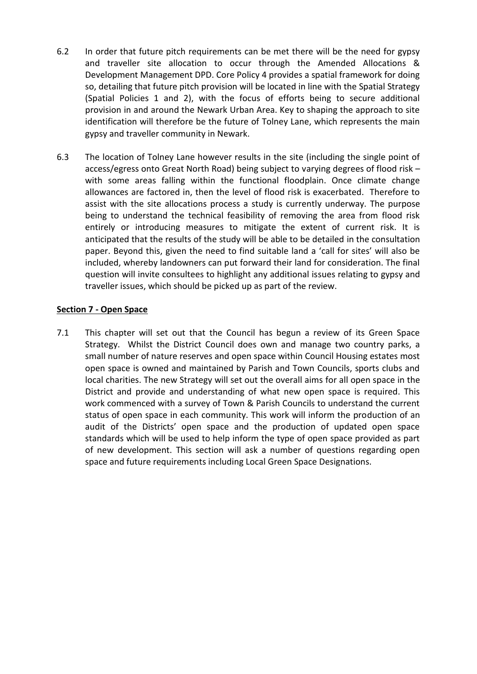- 6.2 In order that future pitch requirements can be met there will be the need for gypsy and traveller site allocation to occur through the Amended Allocations & Development Management DPD. Core Policy 4 provides a spatial framework for doing so, detailing that future pitch provision will be located in line with the Spatial Strategy (Spatial Policies 1 and 2), with the focus of efforts being to secure additional provision in and around the Newark Urban Area. Key to shaping the approach to site identification will therefore be the future of Tolney Lane, which represents the main gypsy and traveller community in Newark.
- 6.3 The location of Tolney Lane however results in the site (including the single point of access/egress onto Great North Road) being subject to varying degrees of flood risk – with some areas falling within the functional floodplain. Once climate change allowances are factored in, then the level of flood risk is exacerbated. Therefore to assist with the site allocations process a study is currently underway. The purpose being to understand the technical feasibility of removing the area from flood risk entirely or introducing measures to mitigate the extent of current risk. It is anticipated that the results of the study will be able to be detailed in the consultation paper. Beyond this, given the need to find suitable land a 'call for sites' will also be included, whereby landowners can put forward their land for consideration. The final question will invite consultees to highlight any additional issues relating to gypsy and traveller issues, which should be picked up as part of the review.

#### **Section 7 - Open Space**

7.1 This chapter will set out that the Council has begun a review of its Green Space Strategy. Whilst the District Council does own and manage two country parks, a small number of nature reserves and open space within Council Housing estates most open space is owned and maintained by Parish and Town Councils, sports clubs and local charities. The new Strategy will set out the overall aims for all open space in the District and provide and understanding of what new open space is required. This work commenced with a survey of Town & Parish Councils to understand the current status of open space in each community. This work will inform the production of an audit of the Districts' open space and the production of updated open space standards which will be used to help inform the type of open space provided as part of new development. This section will ask a number of questions regarding open space and future requirements including Local Green Space Designations.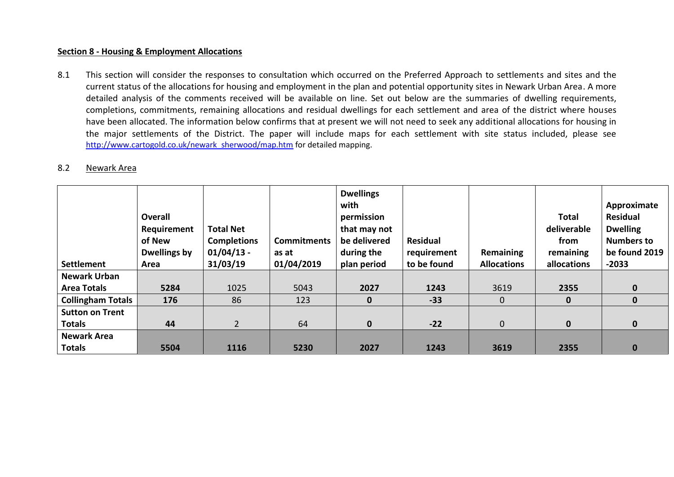#### **Section 8 - Housing & Employment Allocations**

8.1 This section will consider the responses to consultation which occurred on the Preferred Approach to settlements and sites and the current status of the allocations for housing and employment in the plan and potential opportunity sites in Newark Urban Area. A more detailed analysis of the comments received will be available on line. Set out below are the summaries of dwelling requirements, completions, commitments, remaining allocations and residual dwellings for each settlement and area of the district where houses have been allocated. The information below confirms that at present we will not need to seek any additional allocations for housing in the major settlements of the District. The paper will include maps for each settlement with site status included, please see [http://www.cartogold.co.uk/newark\\_sherwood/map.htm](http://www.cartogold.co.uk/newark_sherwood/map.htm) for detailed mapping.

#### 8.2 Newark Area

| Settlement               | Overall<br>Requirement<br>of New<br>Dwellings by<br>Area | <b>Total Net</b><br><b>Completions</b><br>$01/04/13$ -<br>31/03/19 | <b>Commitments</b><br>as at<br>01/04/2019 | <b>Dwellings</b><br>with<br>permission<br>that may not<br>be delivered<br>during the<br>plan period | <b>Residual</b><br>requirement<br>to be found | Remaining<br><b>Allocations</b> | <b>Total</b><br>deliverable<br>from<br>remaining<br>allocations | Approximate<br><b>Residual</b><br><b>Dwelling</b><br><b>Numbers to</b><br>be found 2019<br>$-2033$ |
|--------------------------|----------------------------------------------------------|--------------------------------------------------------------------|-------------------------------------------|-----------------------------------------------------------------------------------------------------|-----------------------------------------------|---------------------------------|-----------------------------------------------------------------|----------------------------------------------------------------------------------------------------|
| <b>Newark Urban</b>      |                                                          |                                                                    |                                           |                                                                                                     |                                               |                                 |                                                                 |                                                                                                    |
| <b>Area Totals</b>       | 5284                                                     | 1025                                                               | 5043                                      | 2027                                                                                                | 1243                                          | 3619                            | 2355                                                            | $\mathbf 0$                                                                                        |
| <b>Collingham Totals</b> | 176                                                      | 86                                                                 | 123                                       | $\mathbf 0$                                                                                         | $-33$                                         | $\mathbf{0}$                    | $\bf{0}$                                                        | $\bf{0}$                                                                                           |
| <b>Sutton on Trent</b>   |                                                          |                                                                    |                                           |                                                                                                     |                                               |                                 |                                                                 |                                                                                                    |
| <b>Totals</b>            | 44                                                       | $2^{\circ}$                                                        | 64                                        | $\mathbf 0$                                                                                         | $-22$                                         | $\mathbf 0$                     | $\mathbf 0$                                                     | $\mathbf 0$                                                                                        |
| <b>Newark Area</b>       |                                                          |                                                                    |                                           |                                                                                                     |                                               |                                 |                                                                 |                                                                                                    |
| <b>Totals</b>            | 5504                                                     | 1116                                                               | 5230                                      | 2027                                                                                                | 1243                                          | 3619                            | 2355                                                            | $\bf{0}$                                                                                           |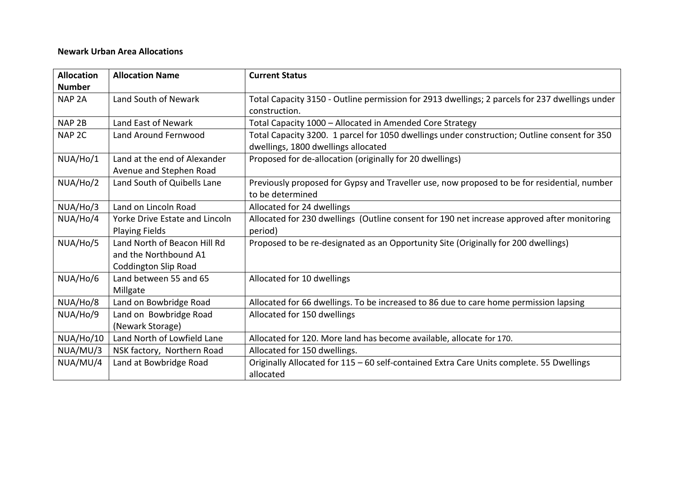### **Newark Urban Area Allocations**

| <b>Allocation</b> | <b>Allocation Name</b>         | <b>Current Status</b>                                                                          |
|-------------------|--------------------------------|------------------------------------------------------------------------------------------------|
| <b>Number</b>     |                                |                                                                                                |
| NAP <sub>2A</sub> | Land South of Newark           | Total Capacity 3150 - Outline permission for 2913 dwellings; 2 parcels for 237 dwellings under |
|                   |                                | construction.                                                                                  |
| NAP <sub>2B</sub> | Land East of Newark            | Total Capacity 1000 – Allocated in Amended Core Strategy                                       |
| NAP <sub>2C</sub> | Land Around Fernwood           | Total Capacity 3200. 1 parcel for 1050 dwellings under construction; Outline consent for 350   |
|                   |                                | dwellings, 1800 dwellings allocated                                                            |
| NUA/Ho/1          | Land at the end of Alexander   | Proposed for de-allocation (originally for 20 dwellings)                                       |
|                   | Avenue and Stephen Road        |                                                                                                |
| NUA/Ho/2          | Land South of Quibells Lane    | Previously proposed for Gypsy and Traveller use, now proposed to be for residential, number    |
|                   |                                | to be determined                                                                               |
| NUA/Ho/3          | Land on Lincoln Road           | Allocated for 24 dwellings                                                                     |
| NUA/Ho/4          | Yorke Drive Estate and Lincoln | Allocated for 230 dwellings (Outline consent for 190 net increase approved after monitoring    |
|                   | <b>Playing Fields</b>          | period)                                                                                        |
| NUA/Ho/5          | Land North of Beacon Hill Rd   | Proposed to be re-designated as an Opportunity Site (Originally for 200 dwellings)             |
|                   | and the Northbound A1          |                                                                                                |
|                   | <b>Coddington Slip Road</b>    |                                                                                                |
| NUA/Ho/6          | Land between 55 and 65         | Allocated for 10 dwellings                                                                     |
|                   | Millgate                       |                                                                                                |
| NUA/Ho/8          | Land on Bowbridge Road         | Allocated for 66 dwellings. To be increased to 86 due to care home permission lapsing          |
| NUA/Ho/9          | Land on Bowbridge Road         | Allocated for 150 dwellings                                                                    |
|                   | (Newark Storage)               |                                                                                                |
| NUA/Ho/10         | Land North of Lowfield Lane    | Allocated for 120. More land has become available, allocate for 170.                           |
| NUA/MU/3          | NSK factory, Northern Road     | Allocated for 150 dwellings.                                                                   |
| NUA/MU/4          | Land at Bowbridge Road         | Originally Allocated for 115 - 60 self-contained Extra Care Units complete. 55 Dwellings       |
|                   |                                | allocated                                                                                      |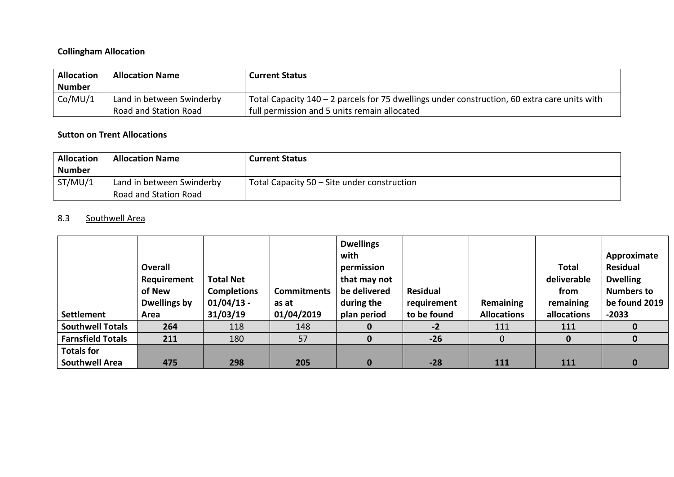# **Collingham Allocation**

| <b>Allocation</b> | <b>Allocation Name</b>    | <b>Current Status</b>                                                                          |
|-------------------|---------------------------|------------------------------------------------------------------------------------------------|
| <b>Number</b>     |                           |                                                                                                |
| Co/MU/1           | Land in between Swinderby | Total Capacity $140 - 2$ parcels for 75 dwellings under construction, 60 extra care units with |
|                   | Road and Station Road     | full permission and 5 units remain allocated                                                   |

# **Sutton on Trent Allocations**

| <b>Allocation</b>        | <b>Allocation Name</b>                             | <b>Current Status</b>                       |
|--------------------------|----------------------------------------------------|---------------------------------------------|
| <b>Number</b><br>ST/MU/1 | Land in between Swinderby<br>Road and Station Road | Total Capacity 50 – Site under construction |

# 8.3 Southwell Area

|                          | <b>Overall</b><br>Requirement<br>of New<br>Dwellings by | <b>Total Net</b><br><b>Completions</b><br>$01/04/13$ - | <b>Commitments</b><br>as at | <b>Dwellings</b><br>with<br>permission<br>that may not<br>be delivered<br>during the | Residual<br>requirement | Remaining          | <b>Total</b><br>deliverable<br>from<br>remaining | Approximate<br>Residual<br><b>Dwelling</b><br><b>Numbers to</b><br>be found 2019 |
|--------------------------|---------------------------------------------------------|--------------------------------------------------------|-----------------------------|--------------------------------------------------------------------------------------|-------------------------|--------------------|--------------------------------------------------|----------------------------------------------------------------------------------|
| Settlement               | Area                                                    | 31/03/19                                               | 01/04/2019                  | plan period                                                                          | to be found             | <b>Allocations</b> | allocations                                      | $-2033$                                                                          |
| <b>Southwell Totals</b>  | 264                                                     | 118                                                    | 148                         | 0                                                                                    | $-2$                    | 111                | 111                                              |                                                                                  |
| <b>Farnsfield Totals</b> | 211                                                     | 180                                                    | 57                          | $\mathbf{0}$                                                                         | $-26$                   | $\mathbf{0}$       | $\bf{0}$                                         | 0                                                                                |
| <b>Totals for</b>        |                                                         |                                                        |                             |                                                                                      |                         |                    |                                                  |                                                                                  |
| <b>Southwell Area</b>    | 475                                                     | 298                                                    | 205                         | 0                                                                                    | $-28$                   | 111                | 111                                              | $\bf{0}$                                                                         |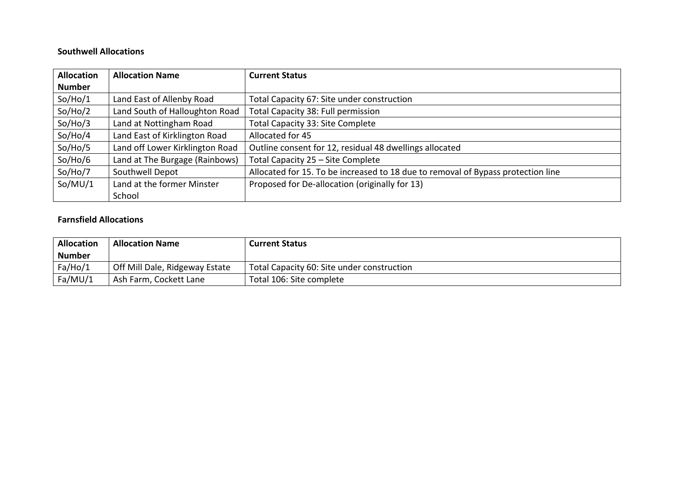## **Southwell Allocations**

| <b>Allocation</b> | <b>Allocation Name</b>          | <b>Current Status</b>                                                            |
|-------------------|---------------------------------|----------------------------------------------------------------------------------|
| <b>Number</b>     |                                 |                                                                                  |
| So/Ho/1           | Land East of Allenby Road       | Total Capacity 67: Site under construction                                       |
| So/Ho/2           | Land South of Halloughton Road  | Total Capacity 38: Full permission                                               |
| So/Ho/3           | Land at Nottingham Road         | Total Capacity 33: Site Complete                                                 |
| So/Ho/4           | Land East of Kirklington Road   | Allocated for 45                                                                 |
| So/Ho/5           | Land off Lower Kirklington Road | Outline consent for 12, residual 48 dwellings allocated                          |
| So/Ho/6           | Land at The Burgage (Rainbows)  | Total Capacity 25 - Site Complete                                                |
| So/Ho/7           | Southwell Depot                 | Allocated for 15. To be increased to 18 due to removal of Bypass protection line |
| So/MU/1           | Land at the former Minster      | Proposed for De-allocation (originally for 13)                                   |
|                   | School                          |                                                                                  |

#### **Farnsfield Allocations**

| <b>Allocation</b> | <b>Allocation Name</b>         | <b>Current Status</b>                      |
|-------------------|--------------------------------|--------------------------------------------|
| <b>Number</b>     |                                |                                            |
| Fa/Ho/1           | Off Mill Dale, Ridgeway Estate | Total Capacity 60: Site under construction |
| Fa/MU/1           | Ash Farm, Cockett Lane         | Total 106: Site complete                   |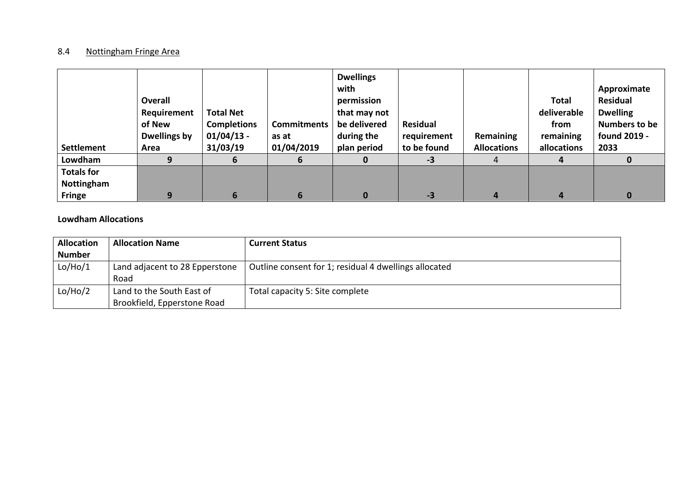## 8.4 **Nottingham Fringe Area**

| <b>Settlement</b> | Overall<br>Requirement<br>of New<br><b>Dwellings by</b><br>Area | <b>Total Net</b><br><b>Completions</b><br>$01/04/13$ -<br>31/03/19 | Commitments<br>as at<br>01/04/2019 | <b>Dwellings</b><br>with<br>permission<br>that may not<br>be delivered<br>during the<br>plan period | Residual<br>requirement<br>to be found | Remaining<br><b>Allocations</b> | <b>Total</b><br>deliverable<br>from<br>remaining<br>allocations | Approximate<br>Residual<br><b>Dwelling</b><br><b>Numbers to be</b><br>found 2019 -<br>2033 |
|-------------------|-----------------------------------------------------------------|--------------------------------------------------------------------|------------------------------------|-----------------------------------------------------------------------------------------------------|----------------------------------------|---------------------------------|-----------------------------------------------------------------|--------------------------------------------------------------------------------------------|
| Lowdham           |                                                                 | 6                                                                  | 6                                  |                                                                                                     | -3                                     | 4                               | 4                                                               | 0                                                                                          |
| <b>Totals for</b> |                                                                 |                                                                    |                                    |                                                                                                     |                                        |                                 |                                                                 |                                                                                            |
| Nottingham        |                                                                 |                                                                    |                                    |                                                                                                     |                                        |                                 |                                                                 |                                                                                            |
| <b>Fringe</b>     |                                                                 | ь                                                                  | 6                                  |                                                                                                     | -3                                     |                                 |                                                                 | 0                                                                                          |

## **Lowdham Allocations**

| <b>Allocation</b> | <b>Allocation Name</b>         | <b>Current Status</b>                                 |
|-------------------|--------------------------------|-------------------------------------------------------|
| <b>Number</b>     |                                |                                                       |
| Lo/Ho/1           | Land adjacent to 28 Epperstone | Outline consent for 1; residual 4 dwellings allocated |
|                   | Road                           |                                                       |
| Lo/Ho/2           | Land to the South East of      | Total capacity 5: Site complete                       |
|                   | Brookfield, Epperstone Road    |                                                       |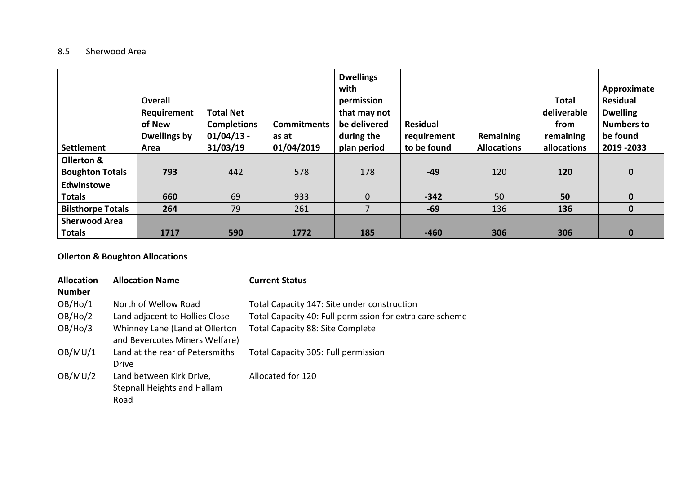# 8.5 Sherwood Area

| <b>Settlement</b>        | <b>Overall</b><br>Requirement<br>of New<br><b>Dwellings by</b><br>Area | <b>Total Net</b><br><b>Completions</b><br>$01/04/13$ -<br>31/03/19 | <b>Commitments</b><br>as at<br>01/04/2019 | <b>Dwellings</b><br>with<br>permission<br>that may not<br>be delivered<br>during the<br>plan period | <b>Residual</b><br>requirement<br>to be found | Remaining<br><b>Allocations</b> | Total<br>deliverable<br>from<br>remaining<br>allocations | Approximate<br><b>Residual</b><br><b>Dwelling</b><br><b>Numbers to</b><br>be found<br>2019 - 2033 |
|--------------------------|------------------------------------------------------------------------|--------------------------------------------------------------------|-------------------------------------------|-----------------------------------------------------------------------------------------------------|-----------------------------------------------|---------------------------------|----------------------------------------------------------|---------------------------------------------------------------------------------------------------|
| Ollerton &               |                                                                        |                                                                    |                                           |                                                                                                     |                                               |                                 |                                                          |                                                                                                   |
| <b>Boughton Totals</b>   | 793                                                                    | 442                                                                | 578                                       | 178                                                                                                 | $-49$                                         | 120                             | 120                                                      | $\mathbf 0$                                                                                       |
| <b>Edwinstowe</b>        |                                                                        |                                                                    |                                           |                                                                                                     |                                               |                                 |                                                          |                                                                                                   |
| <b>Totals</b>            | 660                                                                    | 69                                                                 | 933                                       | $\mathbf 0$                                                                                         | $-342$                                        | 50                              | 50                                                       | $\mathbf{0}$                                                                                      |
| <b>Bilsthorpe Totals</b> | 264                                                                    | 79                                                                 | 261                                       | 7                                                                                                   | $-69$                                         | 136                             | 136                                                      | $\mathbf 0$                                                                                       |
| <b>Sherwood Area</b>     |                                                                        |                                                                    |                                           |                                                                                                     |                                               |                                 |                                                          |                                                                                                   |
| <b>Totals</b>            | 1717                                                                   | 590                                                                | 1772                                      | 185                                                                                                 | $-460$                                        | 306                             | 306                                                      | $\bf{0}$                                                                                          |

# **Ollerton & Boughton Allocations**

| <b>Allocation</b> | <b>Allocation Name</b>          | <b>Current Status</b>                                    |
|-------------------|---------------------------------|----------------------------------------------------------|
| <b>Number</b>     |                                 |                                                          |
| OB/Ho/1           | North of Wellow Road            | Total Capacity 147: Site under construction              |
| OB/Ho/2           | Land adjacent to Hollies Close  | Total Capacity 40: Full permission for extra care scheme |
| OB/Ho/3           | Whinney Lane (Land at Ollerton  | Total Capacity 88: Site Complete                         |
|                   | and Bevercotes Miners Welfare)  |                                                          |
| OB/MU/1           | Land at the rear of Petersmiths | Total Capacity 305: Full permission                      |
|                   | <b>Drive</b>                    |                                                          |
| OB/MU/2           | Land between Kirk Drive,        | Allocated for 120                                        |
|                   | Stepnall Heights and Hallam     |                                                          |
|                   | Road                            |                                                          |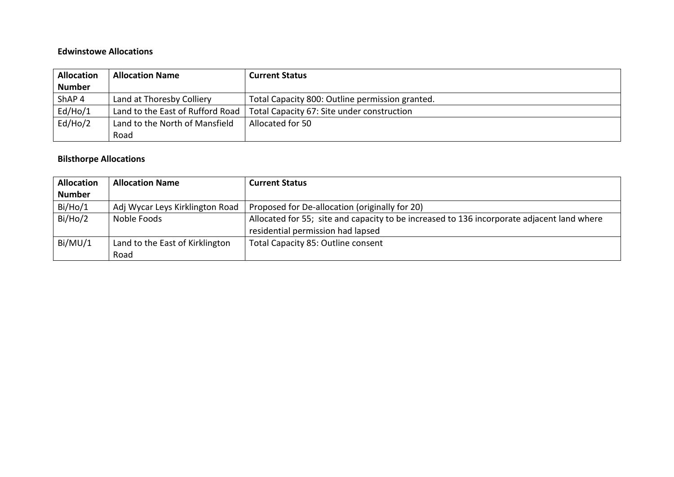#### **Edwinstowe Allocations**

| <b>Allocation</b> | <b>Allocation Name</b>           | <b>Current Status</b>                           |
|-------------------|----------------------------------|-------------------------------------------------|
| <b>Number</b>     |                                  |                                                 |
| ShAP <sub>4</sub> | Land at Thoresby Colliery        | Total Capacity 800: Outline permission granted. |
| Ed/Ho/1           | Land to the East of Rufford Road | Total Capacity 67: Site under construction      |
| Ed/Ho/2           | Land to the North of Mansfield   | Allocated for 50                                |
|                   | Road                             |                                                 |

# **Bilsthorpe Allocations**

| <b>Allocation</b> | <b>Allocation Name</b>          | <b>Current Status</b>                                                                      |  |  |
|-------------------|---------------------------------|--------------------------------------------------------------------------------------------|--|--|
| <b>Number</b>     |                                 |                                                                                            |  |  |
| Bi/Ho/1           | Adj Wycar Leys Kirklington Road | Proposed for De-allocation (originally for 20)                                             |  |  |
| Bi/Ho/2           | Noble Foods                     | Allocated for 55; site and capacity to be increased to 136 incorporate adjacent land where |  |  |
|                   |                                 | residential permission had lapsed                                                          |  |  |
| Bi/MU/1           | Land to the East of Kirklington | Total Capacity 85: Outline consent                                                         |  |  |
|                   | Road                            |                                                                                            |  |  |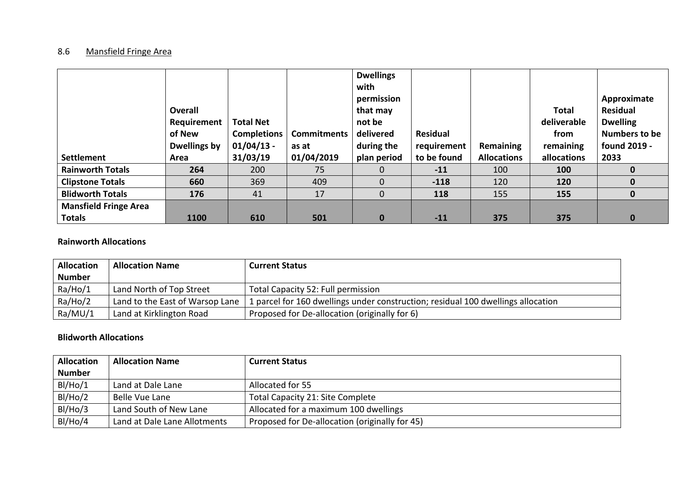## 8.6 Mansfield Fringe Area

| <b>Settlement</b>            | Overall<br>Requirement<br>of New<br><b>Dwellings by</b><br>Area | <b>Total Net</b><br><b>Completions</b><br>$01/04/13$ -<br>31/03/19 | <b>Commitments</b><br>as at<br>01/04/2019 | <b>Dwellings</b><br>with<br>permission<br>that may<br>not be<br>delivered<br>during the<br>plan period | <b>Residual</b><br>requirement<br>to be found | Remaining<br><b>Allocations</b> | <b>Total</b><br>deliverable<br>from<br>remaining<br>allocations | Approximate<br>Residual<br><b>Dwelling</b><br>Numbers to be<br>found 2019 -<br>2033 |
|------------------------------|-----------------------------------------------------------------|--------------------------------------------------------------------|-------------------------------------------|--------------------------------------------------------------------------------------------------------|-----------------------------------------------|---------------------------------|-----------------------------------------------------------------|-------------------------------------------------------------------------------------|
| <b>Rainworth Totals</b>      | 264                                                             | 200                                                                | 75                                        | $\Omega$                                                                                               | $-11$                                         | 100                             | 100                                                             | 0                                                                                   |
| <b>Clipstone Totals</b>      | 660                                                             | 369                                                                | 409                                       | $\overline{0}$                                                                                         | $-118$                                        | 120                             | 120                                                             | $\mathbf 0$                                                                         |
| <b>Blidworth Totals</b>      | 176                                                             | 41                                                                 | 17                                        | $\overline{0}$                                                                                         | 118                                           | 155                             | 155                                                             | $\bf{0}$                                                                            |
| <b>Mansfield Fringe Area</b> |                                                                 |                                                                    |                                           |                                                                                                        |                                               |                                 |                                                                 |                                                                                     |
| <b>Totals</b>                | 1100                                                            | 610                                                                | 501                                       | $\bf{0}$                                                                                               | $-11$                                         | 375                             | 375                                                             | $\bf{0}$                                                                            |

## **Rainworth Allocations**

| <b>Allocation</b> | <b>Allocation Name</b>          | <b>Current Status</b>                                                            |
|-------------------|---------------------------------|----------------------------------------------------------------------------------|
| <b>Number</b>     |                                 |                                                                                  |
| Ra/Ho/1           | Land North of Top Street        | Total Capacity 52: Full permission                                               |
| Ra/Ho/2           | Land to the East of Warsop Lane | 1 parcel for 160 dwellings under construction; residual 100 dwellings allocation |
| Ra/MU/1           | Land at Kirklington Road        | Proposed for De-allocation (originally for 6)                                    |

## **Blidworth Allocations**

| <b>Allocation</b> | <b>Allocation Name</b>       | <b>Current Status</b>                          |
|-------------------|------------------------------|------------------------------------------------|
| <b>Number</b>     |                              |                                                |
| BI/Ho/1           | Land at Dale Lane            | Allocated for 55                               |
| BI/Ho/2           | Belle Vue Lane               | Total Capacity 21: Site Complete               |
| BI/Ho/3           | Land South of New Lane       | Allocated for a maximum 100 dwellings          |
| BI/Ho/4           | Land at Dale Lane Allotments | Proposed for De-allocation (originally for 45) |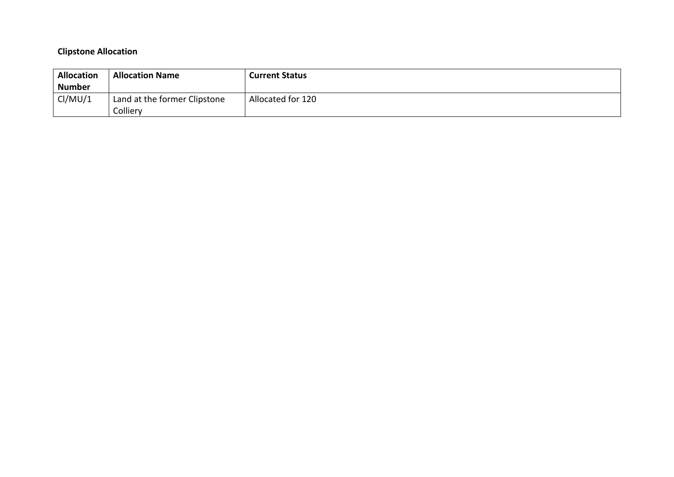# **Clipstone Allocation**

| <b>Allocation</b><br><b>Number</b> | <b>Allocation Name</b>                   | <b>Current Status</b> |
|------------------------------------|------------------------------------------|-----------------------|
| Cl/MU/1                            | Land at the former Clipstone<br>Colliery | Allocated for 120     |